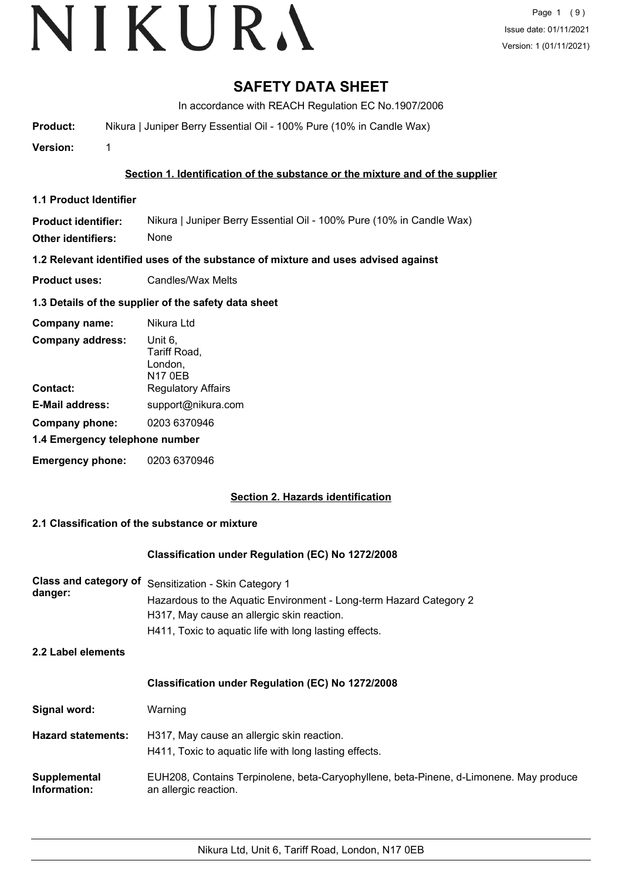# **SAFETY DATA SHEET**

In accordance with REACH Regulation EC No.1907/2006

**Product:** Nikura | Juniper Berry Essential Oil - 100% Pure (10% in Candle Wax)

**Version:** 1

# **Section 1. Identification of the substance or the mixture and of the supplier**

**1.1 Product Identifier**

**Product identifier: Other identifiers:** Nikura | Juniper Berry Essential Oil - 100% Pure (10% in Candle Wax) None

**1.2 Relevant identified uses of the substance of mixture and uses advised against**

**Product uses:** Candles/Wax Melts

# **1.3 Details of the supplier of the safety data sheet**

| Company name:                  | Nikura Ltd                                    |
|--------------------------------|-----------------------------------------------|
| <b>Company address:</b>        | Unit 6,<br>Tariff Road,<br>London,<br>N17 0EB |
| Contact:                       | <b>Regulatory Affairs</b>                     |
| <b>E-Mail address:</b>         | support@nikura.com                            |
| Company phone:                 | 0203 6370946                                  |
| 1.4 Emergency telephone number |                                               |
| <b>Emergency phone:</b>        | 0203 6370946                                  |

# **Section 2. Hazards identification**

# **2.1 Classification of the substance or mixture**

# **Classification under Regulation (EC) No 1272/2008**

| Class and category of<br>danger: | Sensitization - Skin Category 1<br>Hazardous to the Aquatic Environment - Long-term Hazard Category 2<br>H317, May cause an allergic skin reaction.<br>H411, Toxic to aquatic life with long lasting effects. |
|----------------------------------|---------------------------------------------------------------------------------------------------------------------------------------------------------------------------------------------------------------|
| 2.2 Label elements               |                                                                                                                                                                                                               |
|                                  | <b>Classification under Regulation (EC) No 1272/2008</b>                                                                                                                                                      |
| Signal word:                     | Warning                                                                                                                                                                                                       |
| <b>Hazard statements:</b>        | H317, May cause an allergic skin reaction.<br>H411, Toxic to aquatic life with long lasting effects.                                                                                                          |
| Supplemental<br>Information:     | EUH208, Contains Terpinolene, beta-Caryophyllene, beta-Pinene, d-Limonene. May produce<br>an allergic reaction.                                                                                               |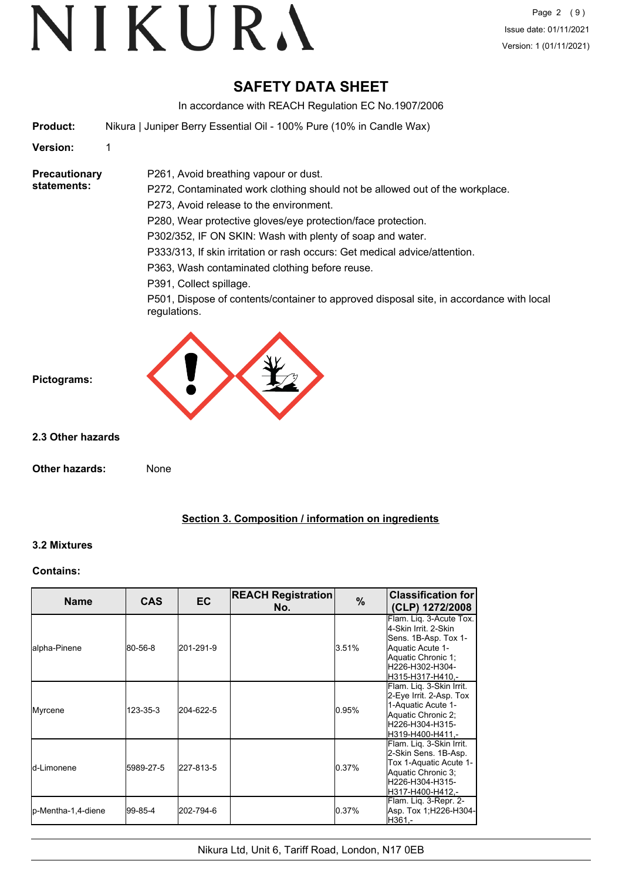# VIKURA

# **SAFETY DATA SHEET**

In accordance with REACH Regulation EC No.1907/2006

**Product:** Nikura | Juniper Berry Essential Oil - 100% Pure (10% in Candle Wax)

P261, Avoid breathing vapour or dust.

**Version:** 1

**Precautionary statements:**

P272, Contaminated work clothing should not be allowed out of the workplace. P273, Avoid release to the environment.

P280, Wear protective gloves/eye protection/face protection.

P302/352, IF ON SKIN: Wash with plenty of soap and water.

P333/313, If skin irritation or rash occurs: Get medical advice/attention.

P363, Wash contaminated clothing before reuse.

P391, Collect spillage.

P501, Dispose of contents/container to approved disposal site, in accordance with local regulations.



**Pictograms:**

**2.3 Other hazards**

**Other hazards:** None

# **Section 3. Composition / information on ingredients**

# **3.2 Mixtures**

# **Contains:**

| <b>Name</b>         | <b>CAS</b> | <b>EC</b> | <b>REACH Registration</b><br>No. | $\%$  | <b>Classification for</b><br>(CLP) 1272/2008                                                                                                             |
|---------------------|------------|-----------|----------------------------------|-------|----------------------------------------------------------------------------------------------------------------------------------------------------------|
| lalpha-Pinene       | 80-56-8    | 201-291-9 |                                  | 3.51% | Flam. Lig. 3-Acute Tox.<br>4-Skin Irrit, 2-Skin<br>Sens. 1B-Asp. Tox 1-<br>Aquatic Acute 1-<br>Aquatic Chronic 1;<br>H226-H302-H304-<br>H315-H317-H410.- |
| Myrcene             | 123-35-3   | 204-622-5 |                                  | 0.95% | Flam. Liq. 3-Skin Irrit.<br>2-Eye Irrit. 2-Asp. Tox<br>1-Aquatic Acute 1-<br>Aquatic Chronic 2;<br>H226-H304-H315-<br>lH319-H400-H411.-                  |
| ld-Limonene         | 5989-27-5  | 227-813-5 |                                  | 0.37% | Flam. Liq. 3-Skin Irrit.<br>2-Skin Sens. 1B-Asp.<br>Tox 1-Aquatic Acute 1-<br>Aquatic Chronic 3;<br>H226-H304-H315-<br>H317-H400-H412.-                  |
| lp-Mentha-1,4-diene | l99-85-4   | 202-794-6 |                                  | 0.37% | Flam. Liq. 3-Repr. 2-<br>Asp. Tox 1;H226-H304-<br>H361.-                                                                                                 |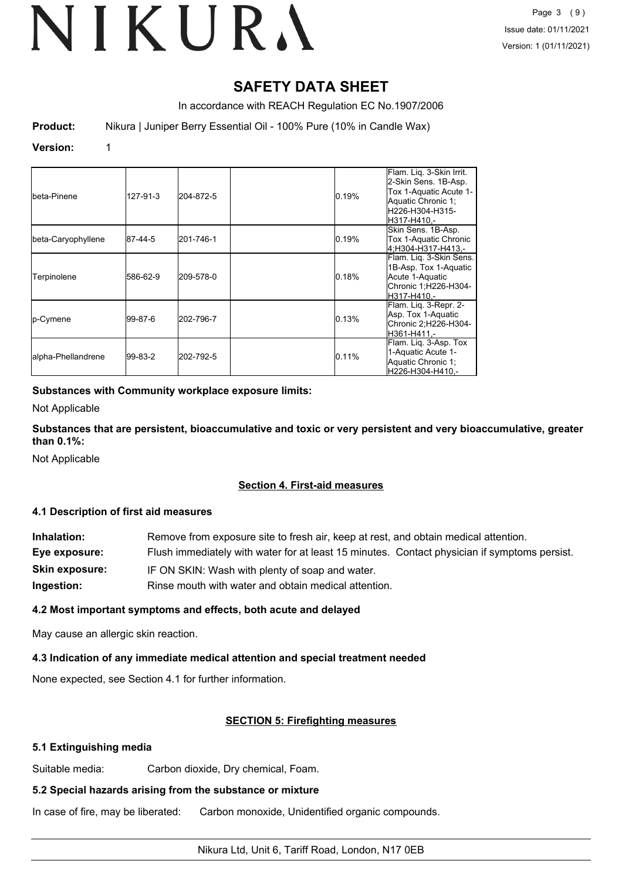# **SAFETY DATA SHEET**

In accordance with REACH Regulation EC No.1907/2006

**Product:** Nikura | Juniper Berry Essential Oil - 100% Pure (10% in Candle Wax)

# **Version:** 1

| Ibeta-Pinene       | 127-91-3 | 204-872-5 | 0.19% | Flam. Liq. 3-Skin Irrit.<br>2-Skin Sens. 1B-Asp.<br>Tox 1-Aquatic Acute 1-<br>Aquatic Chronic 1;<br>H226-H304-H315-<br>IH317-H410.- |
|--------------------|----------|-----------|-------|-------------------------------------------------------------------------------------------------------------------------------------|
| beta-Caryophyllene | 87-44-5  | 201-746-1 | 0.19% | Skin Sens. 1B-Asp.<br>Tox 1-Aquatic Chronic<br>4:H304-H317-H413.-                                                                   |
| Terpinolene        | 586-62-9 | 209-578-0 | 0.18% | Flam. Liq. 3-Skin Sens.<br>1B-Asp. Tox 1-Aquatic<br>Acute 1-Aquatic<br>Chronic 1;H226-H304-<br>H317-H410.-                          |
| <b>Ip-Cymene</b>   | 99-87-6  | 202-796-7 | 0.13% | Flam. Lig. 3-Repr. 2-<br>Asp. Tox 1-Aquatic<br>Chronic 2;H226-H304-<br>lH361-H411.-                                                 |
| alpha-Phellandrene | 99-83-2  | 202-792-5 | 0.11% | Flam. Lig. 3-Asp. Tox<br>1-Aquatic Acute 1-<br>Aquatic Chronic 1;<br>lH226-H304-H410.-                                              |

# **Substances with Community workplace exposure limits:**

Not Applicable

**Substances that are persistent, bioaccumulative and toxic or very persistent and very bioaccumulative, greater than 0.1%:**

Not Applicable

# **Section 4. First-aid measures**

# **4.1 Description of first aid measures**

| Inhalation:           | Remove from exposure site to fresh air, keep at rest, and obtain medical attention.          |
|-----------------------|----------------------------------------------------------------------------------------------|
| Eye exposure:         | Flush immediately with water for at least 15 minutes. Contact physician if symptoms persist. |
| <b>Skin exposure:</b> | IF ON SKIN: Wash with plenty of soap and water.                                              |
| Ingestion:            | Rinse mouth with water and obtain medical attention.                                         |

# **4.2 Most important symptoms and effects, both acute and delayed**

May cause an allergic skin reaction.

# **4.3 Indication of any immediate medical attention and special treatment needed**

None expected, see Section 4.1 for further information.

# **SECTION 5: Firefighting measures**

# **5.1 Extinguishing media**

Suitable media: Carbon dioxide, Dry chemical, Foam.

# **5.2 Special hazards arising from the substance or mixture**

In case of fire, may be liberated: Carbon monoxide, Unidentified organic compounds.

# Nikura Ltd, Unit 6, Tariff Road, London, N17 0EB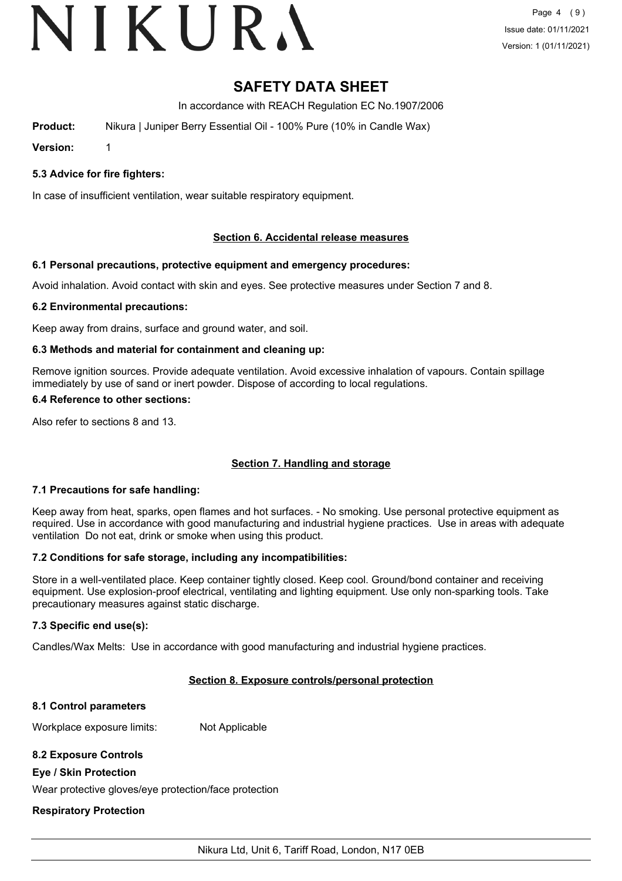# VIKURA

# **SAFETY DATA SHEET**

In accordance with REACH Regulation EC No.1907/2006

**Product:** Nikura | Juniper Berry Essential Oil - 100% Pure (10% in Candle Wax)

**Version:** 1

**5.3 Advice for fire fighters:**

In case of insufficient ventilation, wear suitable respiratory equipment.

# **Section 6. Accidental release measures**

# **6.1 Personal precautions, protective equipment and emergency procedures:**

Avoid inhalation. Avoid contact with skin and eyes. See protective measures under Section 7 and 8.

# **6.2 Environmental precautions:**

Keep away from drains, surface and ground water, and soil.

# **6.3 Methods and material for containment and cleaning up:**

Remove ignition sources. Provide adequate ventilation. Avoid excessive inhalation of vapours. Contain spillage immediately by use of sand or inert powder. Dispose of according to local regulations.

#### **6.4 Reference to other sections:**

Also refer to sections 8 and 13.

# **Section 7. Handling and storage**

# **7.1 Precautions for safe handling:**

Keep away from heat, sparks, open flames and hot surfaces. - No smoking. Use personal protective equipment as required. Use in accordance with good manufacturing and industrial hygiene practices. Use in areas with adequate ventilation Do not eat, drink or smoke when using this product.

# **7.2 Conditions for safe storage, including any incompatibilities:**

Store in a well-ventilated place. Keep container tightly closed. Keep cool. Ground/bond container and receiving equipment. Use explosion-proof electrical, ventilating and lighting equipment. Use only non-sparking tools. Take precautionary measures against static discharge.

# **7.3 Specific end use(s):**

Candles/Wax Melts: Use in accordance with good manufacturing and industrial hygiene practices.

# **Section 8. Exposure controls/personal protection**

# **8.1 Control parameters**

Workplace exposure limits: Not Applicable

# **8.2 Exposure Controls**

# **Eye / Skin Protection**

Wear protective gloves/eye protection/face protection

# **Respiratory Protection**

Nikura Ltd, Unit 6, Tariff Road, London, N17 0EB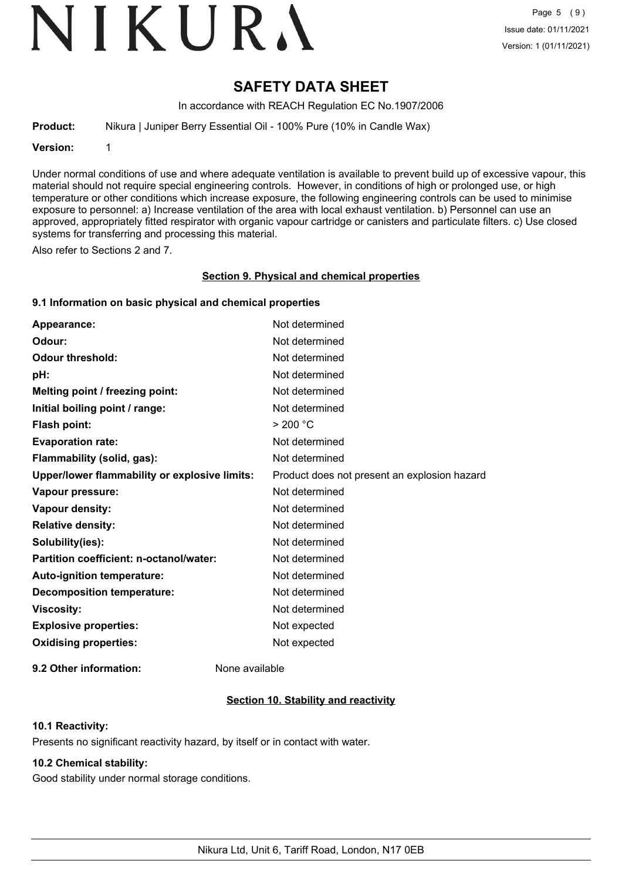# VIKURA

# **SAFETY DATA SHEET**

In accordance with REACH Regulation EC No.1907/2006

**Product:** Nikura | Juniper Berry Essential Oil - 100% Pure (10% in Candle Wax)

**Version:** 1

Under normal conditions of use and where adequate ventilation is available to prevent build up of excessive vapour, this material should not require special engineering controls. However, in conditions of high or prolonged use, or high temperature or other conditions which increase exposure, the following engineering controls can be used to minimise exposure to personnel: a) Increase ventilation of the area with local exhaust ventilation. b) Personnel can use an approved, appropriately fitted respirator with organic vapour cartridge or canisters and particulate filters. c) Use closed systems for transferring and processing this material.

Also refer to Sections 2 and 7.

# **Section 9. Physical and chemical properties**

# **9.1 Information on basic physical and chemical properties**

| Appearance:                                   | Not determined                               |
|-----------------------------------------------|----------------------------------------------|
| Odour:                                        | Not determined                               |
| <b>Odour threshold:</b>                       | Not determined                               |
| pH:                                           | Not determined                               |
| Melting point / freezing point:               | Not determined                               |
| Initial boiling point / range:                | Not determined                               |
| <b>Flash point:</b>                           | > 200 °C                                     |
| <b>Evaporation rate:</b>                      | Not determined                               |
| Flammability (solid, gas):                    | Not determined                               |
| Upper/lower flammability or explosive limits: | Product does not present an explosion hazard |
| Vapour pressure:                              | Not determined                               |
| Vapour density:                               | Not determined                               |
| <b>Relative density:</b>                      | Not determined                               |
| Solubility(ies):                              | Not determined                               |
| Partition coefficient: n-octanol/water:       | Not determined                               |
| Auto-ignition temperature:                    | Not determined                               |
| <b>Decomposition temperature:</b>             | Not determined                               |
| <b>Viscosity:</b>                             | Not determined                               |
| <b>Explosive properties:</b>                  | Not expected                                 |
| <b>Oxidising properties:</b>                  | Not expected                                 |
|                                               |                                              |

**9.2 Other information:** None available

# **Section 10. Stability and reactivity**

# **10.1 Reactivity:**

Presents no significant reactivity hazard, by itself or in contact with water.

# **10.2 Chemical stability:**

Good stability under normal storage conditions.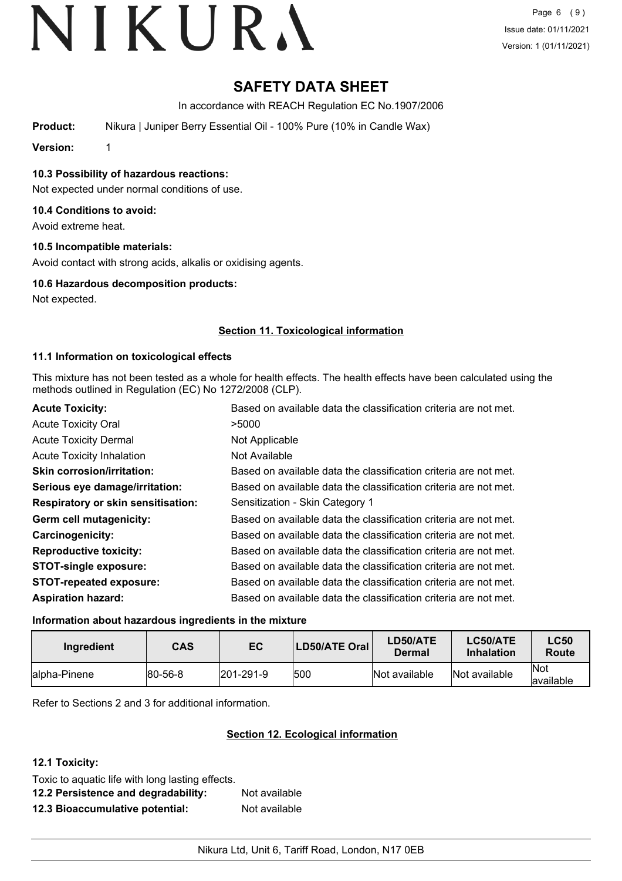# **SAFETY DATA SHEET**

In accordance with REACH Regulation EC No.1907/2006

**Product:** Nikura | Juniper Berry Essential Oil - 100% Pure (10% in Candle Wax)

**Version:** 1

**10.3 Possibility of hazardous reactions:**

Not expected under normal conditions of use.

# **10.4 Conditions to avoid:**

Avoid extreme heat.

# **10.5 Incompatible materials:**

Avoid contact with strong acids, alkalis or oxidising agents.

# **10.6 Hazardous decomposition products:**

Not expected.

# **Section 11. Toxicological information**

# **11.1 Information on toxicological effects**

This mixture has not been tested as a whole for health effects. The health effects have been calculated using the methods outlined in Regulation (EC) No 1272/2008 (CLP).

| <b>Acute Toxicity:</b>                    | Based on available data the classification criteria are not met. |
|-------------------------------------------|------------------------------------------------------------------|
| <b>Acute Toxicity Oral</b>                | >5000                                                            |
| <b>Acute Toxicity Dermal</b>              | Not Applicable                                                   |
| <b>Acute Toxicity Inhalation</b>          | Not Available                                                    |
| <b>Skin corrosion/irritation:</b>         | Based on available data the classification criteria are not met. |
| Serious eye damage/irritation:            | Based on available data the classification criteria are not met. |
| <b>Respiratory or skin sensitisation:</b> | Sensitization - Skin Category 1                                  |
| Germ cell mutagenicity:                   | Based on available data the classification criteria are not met. |
| <b>Carcinogenicity:</b>                   | Based on available data the classification criteria are not met. |
| <b>Reproductive toxicity:</b>             | Based on available data the classification criteria are not met. |
| <b>STOT-single exposure:</b>              | Based on available data the classification criteria are not met. |
| <b>STOT-repeated exposure:</b>            | Based on available data the classification criteria are not met. |
| <b>Aspiration hazard:</b>                 | Based on available data the classification criteria are not met. |

# **Information about hazardous ingredients in the mixture**

| Ingredient    | CAS     | EC                | LD50/ATE Oral | LD50/ATE<br>Dermal | LC50/ATE<br><b>Inhalation</b> | <b>LC50</b><br><b>Route</b> |
|---------------|---------|-------------------|---------------|--------------------|-------------------------------|-----------------------------|
| lalpha-Pinene | 80-56-8 | $ 201 - 291 - 9 $ | 1500          | Not available      | Not available                 | Not<br>lavailable           |

Refer to Sections 2 and 3 for additional information.

# **Section 12. Ecological information**

# **12.1 Toxicity:**

Toxic to aquatic life with long lasting effects.

**12.2 Persistence and degradability:** Not available **12.3 Bioaccumulative potential:** Not available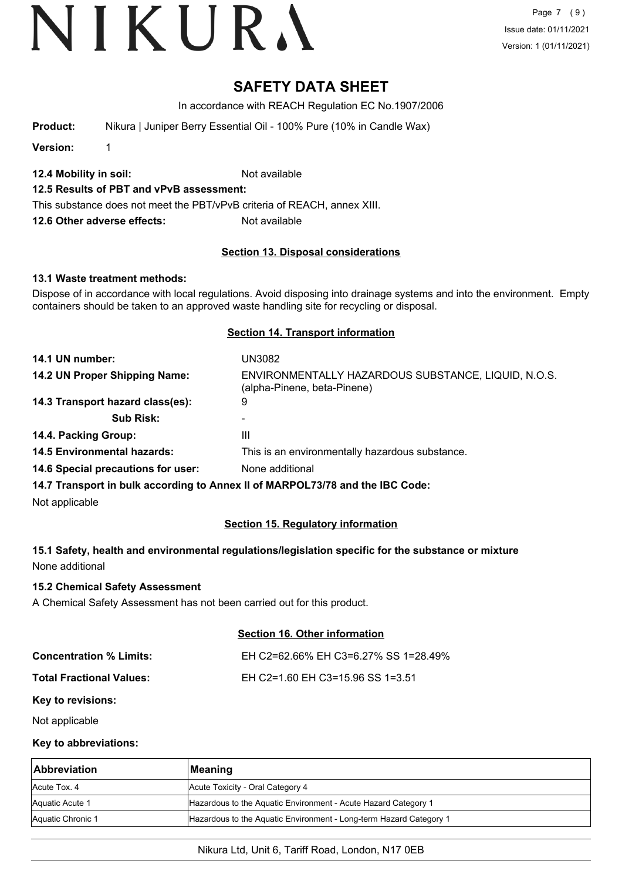Page 7 (9) Issue date: 01/11/2021 Version: 1 (01/11/2021)

# **SAFETY DATA SHEET**

In accordance with REACH Regulation EC No.1907/2006

**Product:** Nikura | Juniper Berry Essential Oil - 100% Pure (10% in Candle Wax)

**Version:** 1

**12.4 Mobility in soil:** Not available

# **12.5 Results of PBT and vPvB assessment:**

This substance does not meet the PBT/vPvB criteria of REACH, annex XIII.

**12.6 Other adverse effects:** Not available

# **Section 13. Disposal considerations**

# **13.1 Waste treatment methods:**

Dispose of in accordance with local regulations. Avoid disposing into drainage systems and into the environment. Empty containers should be taken to an approved waste handling site for recycling or disposal.

#### **Section 14. Transport information**

| 14.1 UN number:                    | UN3082                                                                             |
|------------------------------------|------------------------------------------------------------------------------------|
| 14.2 UN Proper Shipping Name:      | ENVIRONMENTALLY HAZARDOUS SUBSTANCE, LIQUID, N.O.S.<br>(alpha-Pinene, beta-Pinene) |
| 14.3 Transport hazard class(es):   | 9                                                                                  |
| <b>Sub Risk:</b>                   |                                                                                    |
| 14.4. Packing Group:               | Ш                                                                                  |
| <b>14.5 Environmental hazards:</b> | This is an environmentally hazardous substance.                                    |
| 14.6 Special precautions for user: | None additional                                                                    |
|                                    |                                                                                    |

**14.7 Transport in bulk according to Annex II of MARPOL73/78 and the IBC Code:**

Not applicable

# **Section 15. Regulatory information**

**15.1 Safety, health and environmental regulations/legislation specific for the substance or mixture** None additional

# **15.2 Chemical Safety Assessment**

A Chemical Safety Assessment has not been carried out for this product.

# **Section 16. Other information**

| Concentration % Limits:  | EH C2=62.66% EH C3=6.27% SS 1=28.49% |
|--------------------------|--------------------------------------|
| Total Fractional Values: | EH C2=1.60 EH C3=15.96 SS 1=3.51     |

#### **Key to revisions:**

Not applicable

#### **Key to abbreviations:**

| <b>Abbreviation</b> | ∣Meaning                                                           |
|---------------------|--------------------------------------------------------------------|
| Acute Tox, 4        | Acute Toxicity - Oral Category 4                                   |
| Aquatic Acute 1     | Hazardous to the Aquatic Environment - Acute Hazard Category 1     |
| Aquatic Chronic 1   | Hazardous to the Aquatic Environment - Long-term Hazard Category 1 |

# Nikura Ltd, Unit 6, Tariff Road, London, N17 0EB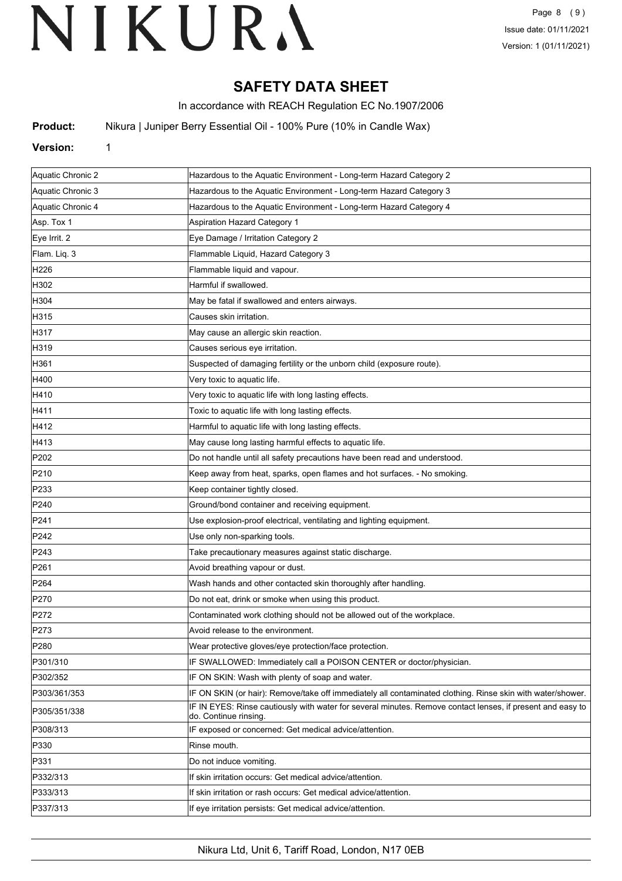# **SAFETY DATA SHEET**

In accordance with REACH Regulation EC No.1907/2006

**Product:** Nikura | Juniper Berry Essential Oil - 100% Pure (10% in Candle Wax)

# **Version:** 1

| Aquatic Chronic 2 | Hazardous to the Aquatic Environment - Long-term Hazard Category 2                                                                  |
|-------------------|-------------------------------------------------------------------------------------------------------------------------------------|
| Aquatic Chronic 3 | Hazardous to the Aquatic Environment - Long-term Hazard Category 3                                                                  |
| Aquatic Chronic 4 | Hazardous to the Aquatic Environment - Long-term Hazard Category 4                                                                  |
| Asp. Tox 1        | <b>Aspiration Hazard Category 1</b>                                                                                                 |
| Eye Irrit. 2      | Eye Damage / Irritation Category 2                                                                                                  |
| Flam. Liq. 3      | Flammable Liquid, Hazard Category 3                                                                                                 |
| H226              | Flammable liquid and vapour.                                                                                                        |
| H302              | Harmful if swallowed.                                                                                                               |
| H304              | May be fatal if swallowed and enters airways.                                                                                       |
| H315              | Causes skin irritation.                                                                                                             |
| H317              | May cause an allergic skin reaction.                                                                                                |
| H319              | Causes serious eye irritation.                                                                                                      |
| H361              | Suspected of damaging fertility or the unborn child (exposure route).                                                               |
| H400              | Very toxic to aquatic life.                                                                                                         |
| H410              | Very toxic to aquatic life with long lasting effects.                                                                               |
| H411              | Toxic to aquatic life with long lasting effects.                                                                                    |
| H412              | Harmful to aquatic life with long lasting effects.                                                                                  |
| H413              | May cause long lasting harmful effects to aquatic life.                                                                             |
| P202              | Do not handle until all safety precautions have been read and understood.                                                           |
| P210              | Keep away from heat, sparks, open flames and hot surfaces. - No smoking.                                                            |
| P233              | Keep container tightly closed.                                                                                                      |
| P240              | Ground/bond container and receiving equipment.                                                                                      |
| P241              | Use explosion-proof electrical, ventilating and lighting equipment.                                                                 |
| P242              | Use only non-sparking tools.                                                                                                        |
| P243              | Take precautionary measures against static discharge.                                                                               |
| P261              | Avoid breathing vapour or dust.                                                                                                     |
| P <sub>264</sub>  | Wash hands and other contacted skin thoroughly after handling.                                                                      |
| P270              | Do not eat, drink or smoke when using this product.                                                                                 |
| P272              | Contaminated work clothing should not be allowed out of the workplace.                                                              |
| P273              | Avoid release to the environment.                                                                                                   |
| P <sub>280</sub>  | Wear protective gloves/eye protection/face protection.                                                                              |
| P301/310          | IF SWALLOWED: Immediately call a POISON CENTER or doctor/physician.                                                                 |
| P302/352          | IF ON SKIN: Wash with plenty of soap and water.                                                                                     |
| P303/361/353      | IF ON SKIN (or hair): Remove/take off immediately all contaminated clothing. Rinse skin with water/shower.                          |
| P305/351/338      | IF IN EYES: Rinse cautiously with water for several minutes. Remove contact lenses, if present and easy to<br>do. Continue rinsing. |
| P308/313          | IF exposed or concerned: Get medical advice/attention.                                                                              |
| P330              | Rinse mouth.                                                                                                                        |
| P331              | Do not induce vomiting.                                                                                                             |
| P332/313          | If skin irritation occurs: Get medical advice/attention.                                                                            |
| P333/313          | If skin irritation or rash occurs: Get medical advice/attention.                                                                    |
| P337/313          | If eye irritation persists: Get medical advice/attention.                                                                           |